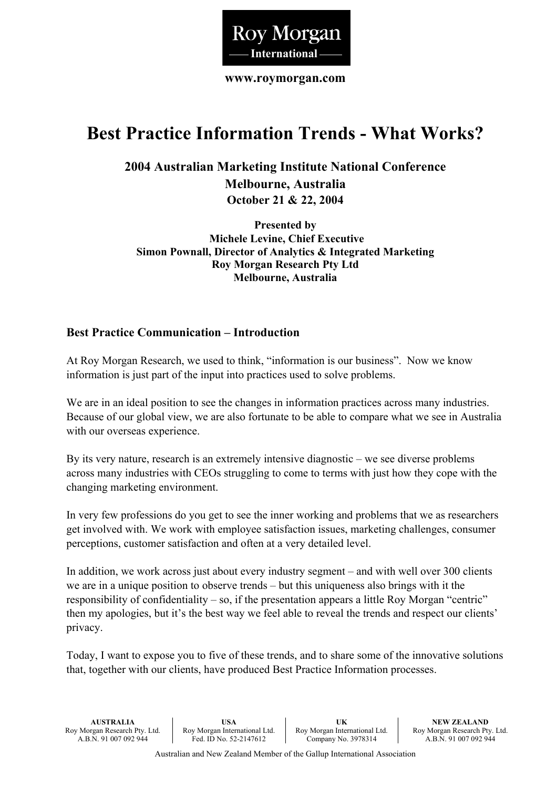

**www.roymorgan.com** 

# **Best Practice Information Trends - What Works?**

**2004 Australian Marketing Institute National Conference Melbourne, Australia October 21 & 22, 2004**

**Presented by Michele Levine, Chief Executive Simon Pownall, Director of Analytics & Integrated Marketing Roy Morgan Research Pty Ltd Melbourne, Australia** 

#### **Best Practice Communication – Introduction**

At Roy Morgan Research, we used to think, "information is our business". Now we know information is just part of the input into practices used to solve problems.

We are in an ideal position to see the changes in information practices across many industries. Because of our global view, we are also fortunate to be able to compare what we see in Australia with our overseas experience.

By its very nature, research is an extremely intensive diagnostic – we see diverse problems across many industries with CEOs struggling to come to terms with just how they cope with the changing marketing environment.

In very few professions do you get to see the inner working and problems that we as researchers get involved with. We work with employee satisfaction issues, marketing challenges, consumer perceptions, customer satisfaction and often at a very detailed level.

In addition, we work across just about every industry segment – and with well over 300 clients we are in a unique position to observe trends – but this uniqueness also brings with it the responsibility of confidentiality – so, if the presentation appears a little Roy Morgan "centric" then my apologies, but it's the best way we feel able to reveal the trends and respect our clients' privacy.

Today, I want to expose you to five of these trends, and to share some of the innovative solutions that, together with our clients, have produced Best Practice Information processes.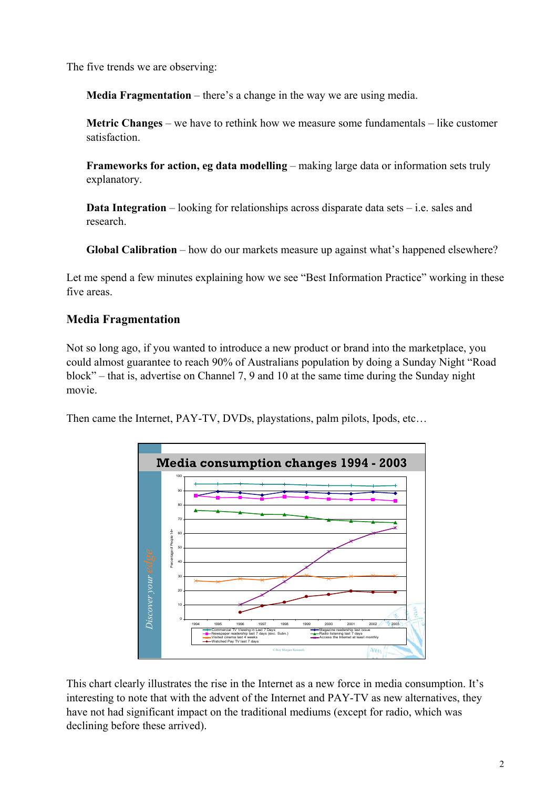The five trends we are observing:

**Media Fragmentation** – there's a change in the way we are using media.

**Metric Changes** – we have to rethink how we measure some fundamentals – like customer satisfaction.

**Frameworks for action, eg data modelling** – making large data or information sets truly explanatory.

**Data Integration** – looking for relationships across disparate data sets – i.e. sales and research.

**Global Calibration** – how do our markets measure up against what's happened elsewhere?

Let me spend a few minutes explaining how we see "Best Information Practice" working in these five areas.

# **Media Fragmentation**

Not so long ago, if you wanted to introduce a new product or brand into the marketplace, you could almost guarantee to reach 90% of Australians population by doing a Sunday Night "Road block" – that is, advertise on Channel 7, 9 and 10 at the same time during the Sunday night movie.

Then came the Internet, PAY-TV, DVDs, playstations, palm pilots, Ipods, etc…



This chart clearly illustrates the rise in the Internet as a new force in media consumption. It's interesting to note that with the advent of the Internet and PAY-TV as new alternatives, they have not had significant impact on the traditional mediums (except for radio, which was declining before these arrived).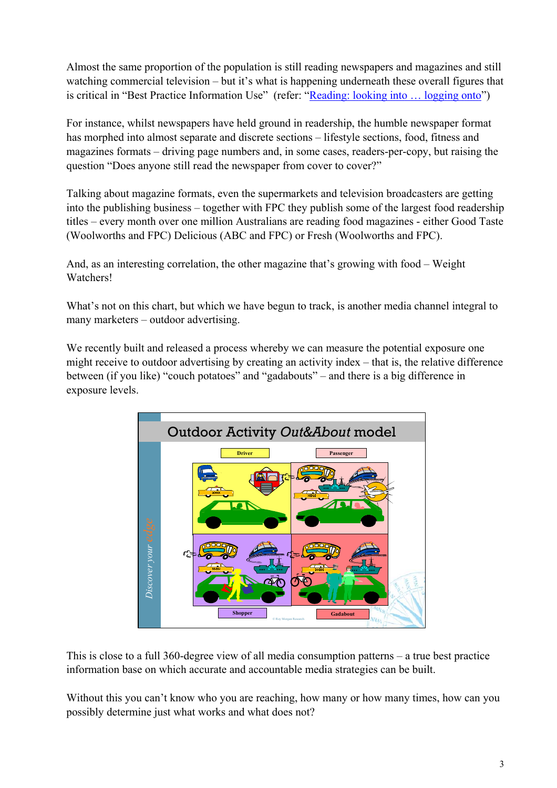Almost the same proportion of the population is still reading newspapers and magazines and still watching commercial television – but it's what is happening underneath these overall figures that is critical in "Best Practice Information Use" (refer: "Reading: looking into ... logging onto")

For instance, whilst newspapers have held ground in readership, the humble newspaper format has morphed into almost separate and discrete sections – lifestyle sections, food, fitness and magazines formats – driving page numbers and, in some cases, readers-per-copy, but raising the question "Does anyone still read the newspaper from cover to cover?"

Talking about magazine formats, even the supermarkets and television broadcasters are getting into the publishing business – together with FPC they publish some of the largest food readership titles – every month over one million Australians are reading food magazines - either Good Taste (Woolworths and FPC) Delicious (ABC and FPC) or Fresh (Woolworths and FPC).

And, as an interesting correlation, the other magazine that's growing with food – Weight Watchers!

What's not on this chart, but which we have begun to track, is another media channel integral to many marketers – outdoor advertising.

We recently built and released a process whereby we can measure the potential exposure one might receive to outdoor advertising by creating an activity index – that is, the relative difference between (if you like) "couch potatoes" and "gadabouts" – and there is a big difference in exposure levels.



This is close to a full 360-degree view of all media consumption patterns – a true best practice information base on which accurate and accountable media strategies can be built.

Without this you can't know who you are reaching, how many or how many times, how can you possibly determine just what works and what does not?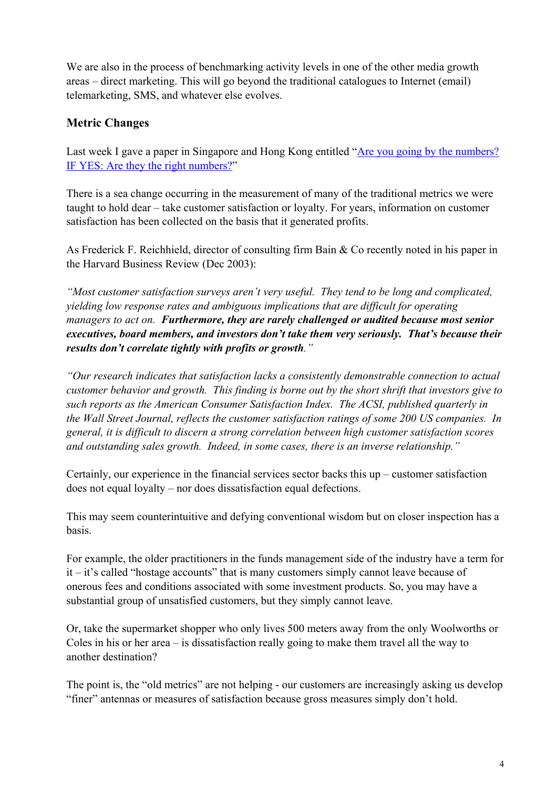We are also in the process of benchmarking activity levels in one of the other media growth areas – direct marketing. This will go beyond the traditional catalogues to Internet (email) telemarketing, SMS, and whatever else evolves.

## **Metric Changes**

Last week I gave a paper in Singapore and Hong Kong entitled "Are you going by the numbers? IF YES: Are they the right numbers?"

There is a sea change occurring in the measurement of many of the traditional metrics we were taught to hold dear – take customer satisfaction or loyalty. For years, information on customer satisfaction has been collected on the basis that it generated profits.

As Frederick F. Reichhield, director of consulting firm Bain & Co recently noted in his paper in the Harvard Business Review (Dec 2003):

*"Most customer satisfaction surveys aren't very useful. They tend to be long and complicated, yielding low response rates and ambiguous implications that are difficult for operating managers to act on. Furthermore, they are rarely challenged or audited because most senior executives, board members, and investors don't take them very seriously. That's because their results don't correlate tightly with profits or growth."* 

*"Our research indicates that satisfaction lacks a consistently demonstrable connection to actual customer behavior and growth. This finding is borne out by the short shrift that investors give to such reports as the American Consumer Satisfaction Index. The ACSI, published quarterly in the Wall Street Journal, reflects the customer satisfaction ratings of some 200 US companies. In general, it is difficult to discern a strong correlation between high customer satisfaction scores and outstanding sales growth. Indeed, in some cases, there is an inverse relationship."* 

Certainly, our experience in the financial services sector backs this up – customer satisfaction does not equal loyalty – nor does dissatisfaction equal defections.

This may seem counterintuitive and defying conventional wisdom but on closer inspection has a basis.

For example, the older practitioners in the funds management side of the industry have a term for it – it's called "hostage accounts" that is many customers simply cannot leave because of onerous fees and conditions associated with some investment products. So, you may have a substantial group of unsatisfied customers, but they simply cannot leave.

Or, take the supermarket shopper who only lives 500 meters away from the only Woolworths or Coles in his or her area – is dissatisfaction really going to make them travel all the way to another destination?

The point is, the "old metrics" are not helping - our customers are increasingly asking us develop "finer" antennas or measures of satisfaction because gross measures simply don't hold.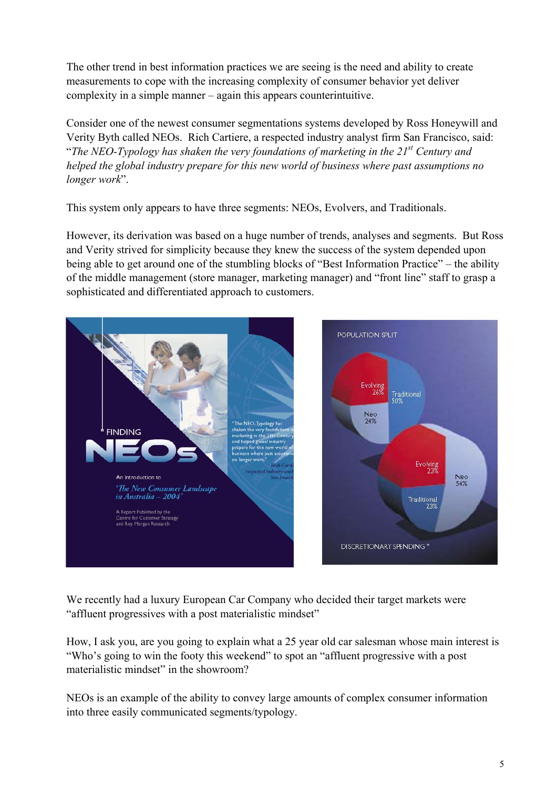The other trend in best information practices we are seeing is the need and ability to create measurements to cope with the increasing complexity of consumer behavior yet deliver complexity in a simple manner – again this appears counterintuitive.

Consider one of the newest consumer segmentations systems developed by Ross Honeywill and Verity Byth called NEOs. Rich Cartiere, a respected industry analyst firm San Francisco, said: "*The NEO-Typology has shaken the very foundations of marketing in the 21st Century and helped the global industry prepare for this new world of business where past assumptions no longer work*".

This system only appears to have three segments: NEOs, Evolvers, and Traditionals.

However, its derivation was based on a huge number of trends, analyses and segments. But Ross and Verity strived for simplicity because they knew the success of the system depended upon being able to get around one of the stumbling blocks of "Best Information Practice" – the ability of the middle management (store manager, marketing manager) and "front line" staff to grasp a sophisticated and differentiated approach to customers.



We recently had a luxury European Car Company who decided their target markets were "affluent progressives with a post materialistic mindset"

How, I ask you, are you going to explain what a 25 year old car salesman whose main interest is "Who's going to win the footy this weekend" to spot an "affluent progressive with a post materialistic mindset" in the showroom?

NEOs is an example of the ability to convey large amounts of complex consumer information into three easily communicated segments/typology.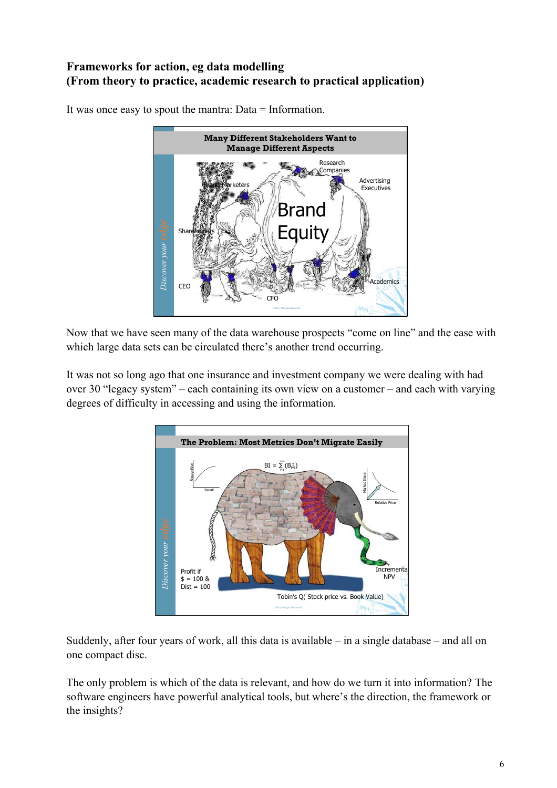### **Frameworks for action, eg data modelling (From theory to practice, academic research to practical application)**



It was once easy to spout the mantra: Data = Information.

Now that we have seen many of the data warehouse prospects "come on line" and the ease with which large data sets can be circulated there's another trend occurring.

It was not so long ago that one insurance and investment company we were dealing with had over 30 "legacy system" – each containing its own view on a customer – and each with varying degrees of difficulty in accessing and using the information.



Suddenly, after four years of work, all this data is available – in a single database – and all on one compact disc.

The only problem is which of the data is relevant, and how do we turn it into information? The software engineers have powerful analytical tools, but where's the direction, the framework or the insights?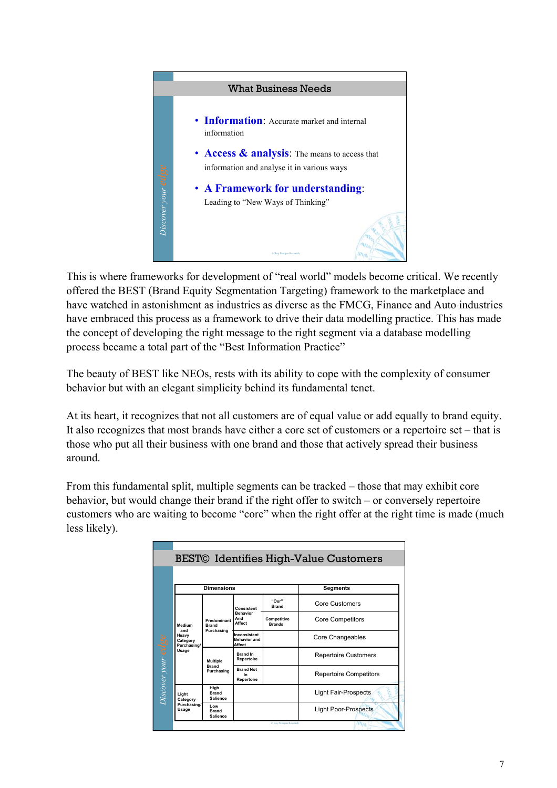

This is where frameworks for development of "real world" models become critical. We recently offered the BEST (Brand Equity Segmentation Targeting) framework to the marketplace and have watched in astonishment as industries as diverse as the FMCG, Finance and Auto industries have embraced this process as a framework to drive their data modelling practice. This has made the concept of developing the right message to the right segment via a database modelling process became a total part of the "Best Information Practice"

The beauty of BEST like NEOs, rests with its ability to cope with the complexity of consumer behavior but with an elegant simplicity behind its fundamental tenet.

At its heart, it recognizes that not all customers are of equal value or add equally to brand equity. It also recognizes that most brands have either a core set of customers or a repertoire set – that is those who put all their business with one brand and those that actively spread their business around.

From this fundamental split, multiple segments can be tracked – those that may exhibit core behavior, but would change their brand if the right offer to switch – or conversely repertoire customers who are waiting to become "core" when the right offer at the right time is made (much less likely).

| <b>BEST©</b> Identifies High-Value Customers |                                                            |                                               |                                                |                              |                               |
|----------------------------------------------|------------------------------------------------------------|-----------------------------------------------|------------------------------------------------|------------------------------|-------------------------------|
|                                              |                                                            |                                               |                                                |                              |                               |
| Discover your <b>edge</b>                    | <b>Dimensions</b>                                          |                                               |                                                |                              | Segments                      |
|                                              |                                                            |                                               |                                                |                              |                               |
|                                              | Medium<br>and<br>Heavy<br>Category<br>Purchasing/<br>Usage | Predominant<br><b>Brand</b><br>Purchasing     | Consistent<br><b>Behavior</b><br>And<br>Affect | "Our"<br><b>Brand</b>        | Core Customers                |
|                                              |                                                            |                                               |                                                | Competitive<br><b>Brands</b> | <b>Core Competitors</b>       |
|                                              |                                                            |                                               | Inconsistent<br>Behavior and<br><b>Affect</b>  |                              | Core Changeables              |
|                                              |                                                            | <b>Multiple</b><br><b>Brand</b><br>Purchasing | <b>Brand In</b><br>Repertoire                  |                              | <b>Repertoire Customers</b>   |
|                                              |                                                            |                                               | <b>Brand Not</b><br>In<br>Repertoire           |                              | <b>Repertoire Competitors</b> |
|                                              | Light<br>Category<br>Purchasing/<br>Usage                  | High<br><b>Brand</b><br>Salience              |                                                |                              | <b>Light Fair-Prospects</b>   |
|                                              |                                                            | Low<br><b>Brand</b><br>Salience               |                                                |                              | <b>Light Poor-Prospects</b>   |
|                                              | C Roy Morgan Research                                      |                                               |                                                |                              |                               |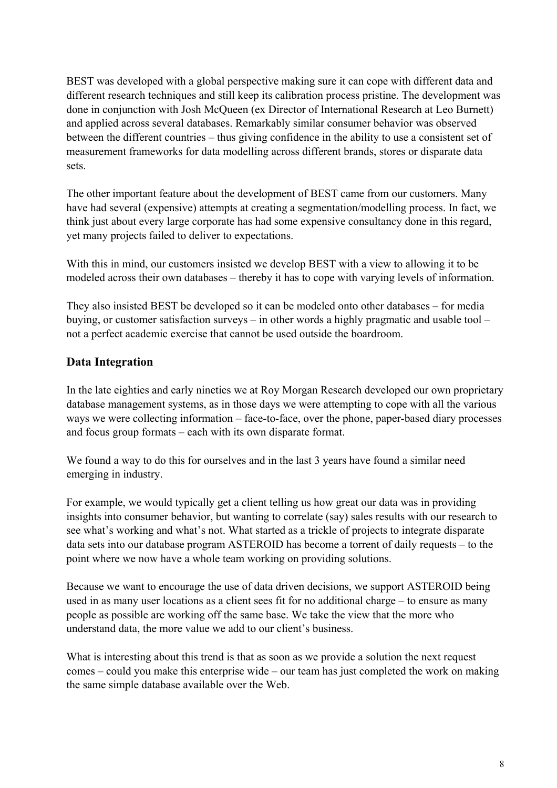BEST was developed with a global perspective making sure it can cope with different data and different research techniques and still keep its calibration process pristine. The development was done in conjunction with Josh McQueen (ex Director of International Research at Leo Burnett) and applied across several databases. Remarkably similar consumer behavior was observed between the different countries – thus giving confidence in the ability to use a consistent set of measurement frameworks for data modelling across different brands, stores or disparate data sets.

The other important feature about the development of BEST came from our customers. Many have had several (expensive) attempts at creating a segmentation/modelling process. In fact, we think just about every large corporate has had some expensive consultancy done in this regard, yet many projects failed to deliver to expectations.

With this in mind, our customers insisted we develop BEST with a view to allowing it to be modeled across their own databases – thereby it has to cope with varying levels of information.

They also insisted BEST be developed so it can be modeled onto other databases – for media buying, or customer satisfaction surveys – in other words a highly pragmatic and usable tool – not a perfect academic exercise that cannot be used outside the boardroom.

#### **Data Integration**

In the late eighties and early nineties we at Roy Morgan Research developed our own proprietary database management systems, as in those days we were attempting to cope with all the various ways we were collecting information – face-to-face, over the phone, paper-based diary processes and focus group formats – each with its own disparate format.

We found a way to do this for ourselves and in the last 3 years have found a similar need emerging in industry.

For example, we would typically get a client telling us how great our data was in providing insights into consumer behavior, but wanting to correlate (say) sales results with our research to see what's working and what's not. What started as a trickle of projects to integrate disparate data sets into our database program ASTEROID has become a torrent of daily requests – to the point where we now have a whole team working on providing solutions.

Because we want to encourage the use of data driven decisions, we support ASTEROID being used in as many user locations as a client sees fit for no additional charge – to ensure as many people as possible are working off the same base. We take the view that the more who understand data, the more value we add to our client's business.

What is interesting about this trend is that as soon as we provide a solution the next request comes – could you make this enterprise wide – our team has just completed the work on making the same simple database available over the Web.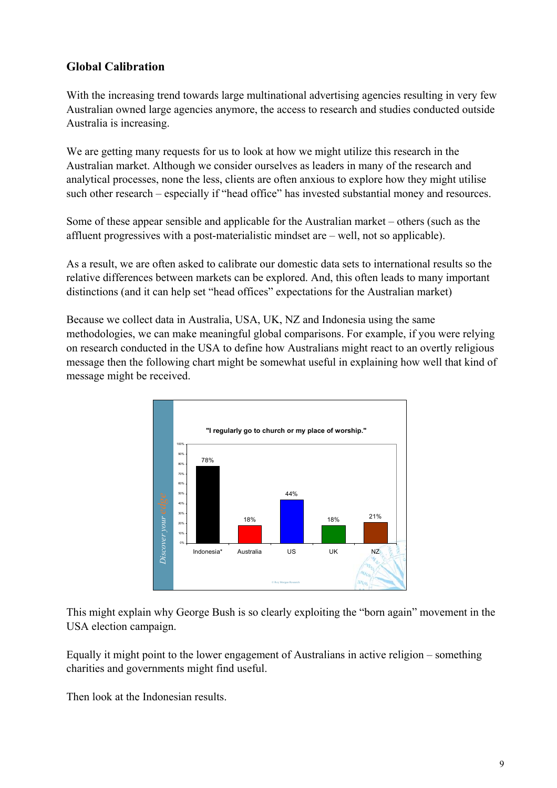### **Global Calibration**

With the increasing trend towards large multinational advertising agencies resulting in very few Australian owned large agencies anymore, the access to research and studies conducted outside Australia is increasing.

We are getting many requests for us to look at how we might utilize this research in the Australian market. Although we consider ourselves as leaders in many of the research and analytical processes, none the less, clients are often anxious to explore how they might utilise such other research – especially if "head office" has invested substantial money and resources.

Some of these appear sensible and applicable for the Australian market – others (such as the affluent progressives with a post-materialistic mindset are – well, not so applicable).

As a result, we are often asked to calibrate our domestic data sets to international results so the relative differences between markets can be explored. And, this often leads to many important distinctions (and it can help set "head offices" expectations for the Australian market)

Because we collect data in Australia, USA, UK, NZ and Indonesia using the same methodologies, we can make meaningful global comparisons. For example, if you were relying on research conducted in the USA to define how Australians might react to an overtly religious message then the following chart might be somewhat useful in explaining how well that kind of message might be received.



This might explain why George Bush is so clearly exploiting the "born again" movement in the USA election campaign.

Equally it might point to the lower engagement of Australians in active religion – something charities and governments might find useful.

Then look at the Indonesian results.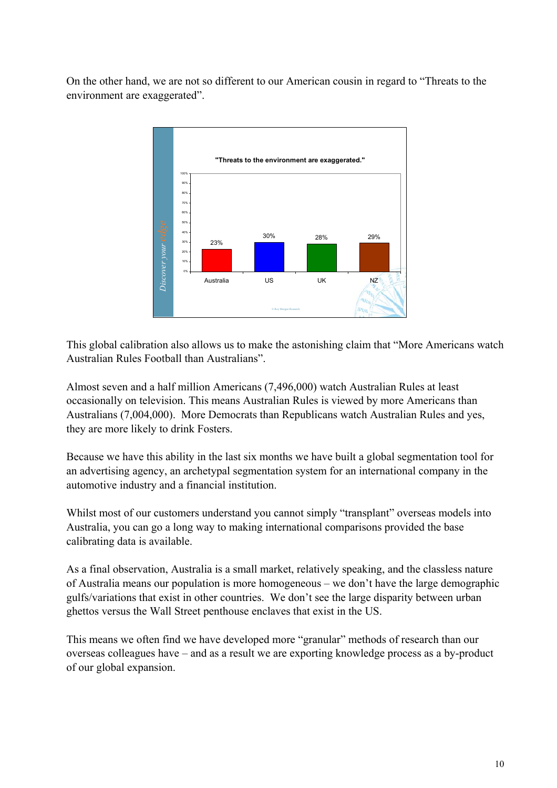On the other hand, we are not so different to our American cousin in regard to "Threats to the environment are exaggerated".



This global calibration also allows us to make the astonishing claim that "More Americans watch Australian Rules Football than Australians".

Almost seven and a half million Americans (7,496,000) watch Australian Rules at least occasionally on television. This means Australian Rules is viewed by more Americans than Australians (7,004,000). More Democrats than Republicans watch Australian Rules and yes, they are more likely to drink Fosters.

Because we have this ability in the last six months we have built a global segmentation tool for an advertising agency, an archetypal segmentation system for an international company in the automotive industry and a financial institution.

Whilst most of our customers understand you cannot simply "transplant" overseas models into Australia, you can go a long way to making international comparisons provided the base calibrating data is available.

As a final observation, Australia is a small market, relatively speaking, and the classless nature of Australia means our population is more homogeneous – we don't have the large demographic gulfs/variations that exist in other countries. We don't see the large disparity between urban ghettos versus the Wall Street penthouse enclaves that exist in the US.

This means we often find we have developed more "granular" methods of research than our overseas colleagues have – and as a result we are exporting knowledge process as a by-product of our global expansion.